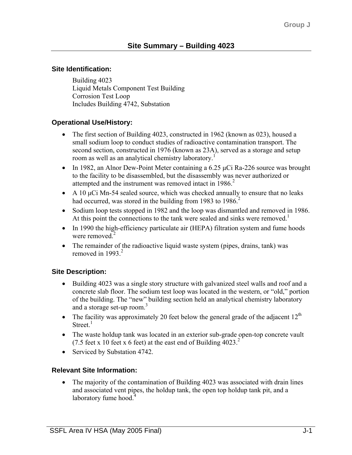#### **Site Identification:**

Building 4023 Liquid Metals Component Test Building Corrosion Test Loop Includes Building 4742, Substation

### **Operational Use/History:**

- The first section of Building 4023, constructed in 1962 (known as 023), housed a small sodium loop to conduct studies of radioactive contamination transport. The second section, constructed in 1976 (known as 23A), served as a storage and setup room as well as an analytical chemistry laboratory.<sup>1</sup>
- In 1982, an Alnor Dew-Point Meter containing a 6.25 µCi Ra-226 source was brought to the facility to be disassembled, but the disassembly was never authorized or attempted and the instrument was removed intact in 1986.<sup>2</sup>
- A 10  $\mu$ Ci Mn-54 sealed source, which was checked annually to ensure that no leaks had occurred, was stored in the building from 1983 to 1986.<sup>2</sup>
- Sodium loop tests stopped in 1982 and the loop was dismantled and removed in 1986. At this point the connections to the tank were sealed and sinks were removed.<sup>1</sup>
- In 1990 the high-efficiency particulate air (HEPA) filtration system and fume hoods were removed. $2$
- The remainder of the radioactive liquid waste system (pipes, drains, tank) was removed in 1993 $<sup>2</sup>$ </sup>

## **Site Description:**

- Building 4023 was a single story structure with galvanized steel walls and roof and a concrete slab floor. The sodium test loop was located in the western, or "old," portion of the building. The "new" building section held an analytical chemistry laboratory and a storage set-up room. $3$
- The facility was approximately 20 feet below the general grade of the adjacent  $12<sup>th</sup>$ Street $<sup>1</sup>$ </sup>
- The waste holdup tank was located in an exterior sub-grade open-top concrete vault (7.5 feet x 10 feet x 6 feet) at the east end of Building  $4023$ .<sup>2</sup>
- Serviced by Substation 4742.

#### **Relevant Site Information:**

• The majority of the contamination of Building 4023 was associated with drain lines and associated vent pipes, the holdup tank, the open top holdup tank pit, and a laboratory fume hood. $4$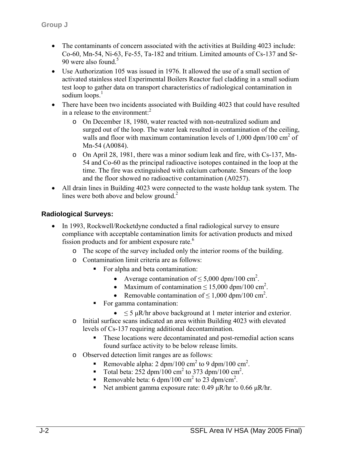- The contaminants of concern associated with the activities at Building 4023 include: Co-60, Mn-54, Ni-63, Fe-55, Ta-182 and tritium. Limited amounts of Cs-137 and Sr-90 were also found.<sup>5</sup>
- Use Authorization 105 was issued in 1976. It allowed the use of a small section of activated stainless steel Experimental Boilers Reactor fuel cladding in a small sodium test loop to gather data on transport characteristics of radiological contamination in sodium  $\log_2 1$
- There have been two incidents associated with Building 4023 that could have resulted in a release to the environment: $<sup>2</sup>$ </sup>
	- o On December 18, 1980, water reacted with non-neutralized sodium and surged out of the loop. The water leak resulted in contamination of the ceiling, walls and floor with maximum contamination levels of  $1,000$  dpm/ $100$  cm<sup>2</sup> of Mn-54 (A0084).
	- o On April 28, 1981, there was a minor sodium leak and fire, with Cs-137, Mn-54 and Co-60 as the principal radioactive isotopes contained in the loop at the time. The fire was extinguished with calcium carbonate. Smears of the loop and the floor showed no radioactive contamination (A0257).
- All drain lines in Building 4023 were connected to the waste holdup tank system. The lines were both above and below ground.<sup>2</sup>

## **Radiological Surveys:**

- In 1993, Rockwell/Rocketdyne conducted a final radiological survey to ensure compliance with acceptable contamination limits for activation products and mixed fission products and for ambient exposure rate.<sup>6</sup>
	- o The scope of the survey included only the interior rooms of the building.
	- o Contamination limit criteria are as follows:
		- For alpha and beta contamination:
			- Average contamination of  $\leq 5,000$  dpm/100 cm<sup>2</sup>.
			- Maximum of contamination  $\leq 15,000$  dpm/100 cm<sup>2</sup>.
			- Removable contamination of  $\leq 1,000$  dpm/100 cm<sup>2</sup>.
		- For gamma contamination:
			- $\leq$  5  $\mu$ R/hr above background at 1 meter interior and exterior.
	- o Initial surface scans indicated an area within Building 4023 with elevated levels of Cs-137 requiring additional decontamination.
		- These locations were decontaminated and post-remedial action scans found surface activity to be below release limits.
	- o Observed detection limit ranges are as follows:
		- Removable alpha:  $2 \text{ dpm}/100 \text{ cm}^2$  to 9 dpm/100 cm<sup>2</sup>.
		- Total beta:  $252 \text{ dpm}/100 \text{ cm}^2$  to 373 dpm/100 cm<sup>2</sup>.
		- Removable beta: 6 dpm/100 cm<sup>2</sup> to 23 dpm/cm<sup>2</sup>.
		- Net ambient gamma exposure rate: 0.49  $\mu$ R/hr to 0.66  $\mu$ R/hr.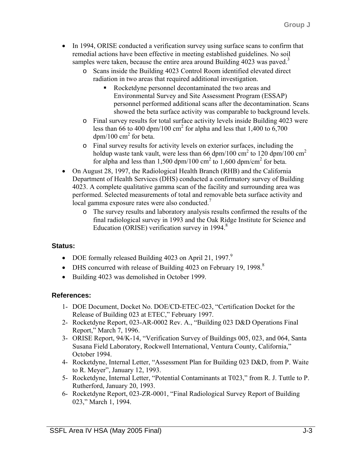- In 1994, ORISE conducted a verification survey using surface scans to confirm that remedial actions have been effective in meeting established guidelines. No soil samples were taken, because the entire area around Building  $4023$  was paved.<sup>3</sup>
	- o Scans inside the Building 4023 Control Room identified elevated direct radiation in two areas that required additional investigation.
		- Rocketdyne personnel decontaminated the two areas and Environmental Survey and Site Assessment Program (ESSAP) personnel performed additional scans after the decontamination. Scans showed the beta surface activity was comparable to background levels.
	- o Final survey results for total surface activity levels inside Building 4023 were less than 66 to 400 dpm/100 cm<sup>2</sup> for alpha and less that 1,400 to 6,700  $dpm/100$  cm<sup>2</sup> for beta.
	- o Final survey results for activity levels on exterior surfaces, including the holdup waste tank vault, were less than 66 dpm/100 cm<sup>2</sup> to 120 dpm/100 cm<sup>2</sup> for alpha and less than  $1,500$  dpm/100 cm<sup>2</sup> to  $1,600$  dpm/cm<sup>2</sup> for beta.
- On August 28, 1997, the Radiological Health Branch (RHB) and the California Department of Health Services (DHS) conducted a confirmatory survey of Building 4023. A complete qualitative gamma scan of the facility and surrounding area was performed. Selected measurements of total and removable beta surface activity and local gamma exposure rates were also conducted.<sup>7</sup>
	- o The survey results and laboratory analysis results confirmed the results of the final radiological survey in 1993 and the Oak Ridge Institute for Science and Education (ORISE) verification survey in 1994.<sup>8</sup>

# **Status:**

- DOE formally released Building 4023 on April 21, 1997.<sup>9</sup>
- DHS concurred with release of Building 4023 on February 19, 1998.<sup>8</sup>
- Building 4023 was demolished in October 1999.

# **References:**

- 1- DOE Document, Docket No. DOE/CD-ETEC-023, "Certification Docket for the Release of Building 023 at ETEC," February 1997.
- 2- Rocketdyne Report, 023-AR-0002 Rev. A., "Building 023 D&D Operations Final Report," March 7, 1996.
- 3- ORISE Report, 94/K-14, "Verification Survey of Buildings 005, 023, and 064, Santa Susana Field Laboratory, Rockwell International, Ventura County, California," October 1994.
- 4- Rocketdyne, Internal Letter, "Assessment Plan for Building 023 D&D, from P. Waite to R. Meyer", January 12, 1993.
- 5- Rocketdyne, Internal Letter, "Potential Contaminants at T023," from R. J. Tuttle to P. Rutherford, January 20, 1993.
- 6- Rocketdyne Report, 023-ZR-0001, "Final Radiological Survey Report of Building 023," March 1, 1994.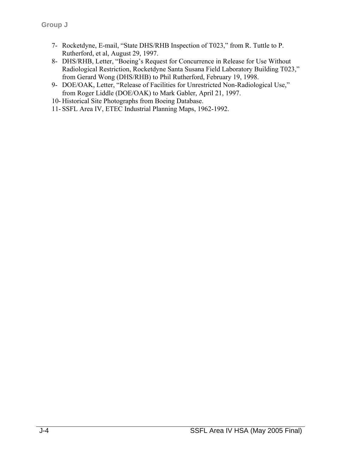- 7- Rocketdyne, E-mail, "State DHS/RHB Inspection of T023," from R. Tuttle to P. Rutherford, et al, August 29, 1997.
- 8- DHS/RHB, Letter, "Boeing's Request for Concurrence in Release for Use Without Radiological Restriction, Rocketdyne Santa Susana Field Laboratory Building T023," from Gerard Wong (DHS/RHB) to Phil Rutherford, February 19, 1998.
- 9- DOE/OAK, Letter, "Release of Facilities for Unrestricted Non-Radiological Use," from Roger Liddle (DOE/OAK) to Mark Gabler, April 21, 1997.
- 10- Historical Site Photographs from Boeing Database.
- 11- SSFL Area IV, ETEC Industrial Planning Maps, 1962-1992.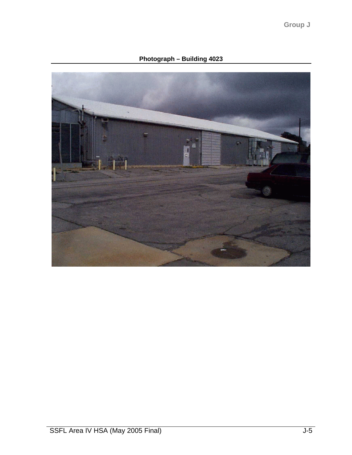**Photograph – Building 4023**